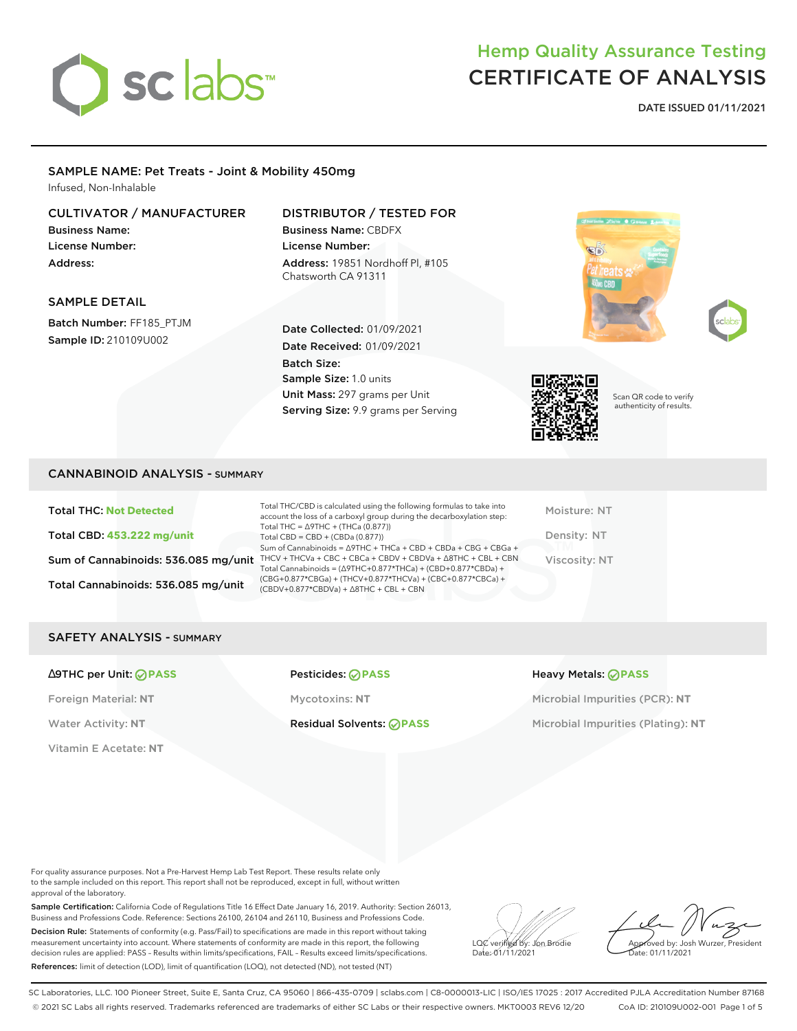

# Hemp Quality Assurance Testing CERTIFICATE OF ANALYSIS

**DATE ISSUED 01/11/2021**

## SAMPLE NAME: Pet Treats - Joint & Mobility 450mg

Infused, Non-Inhalable

### CULTIVATOR / MANUFACTURER

Business Name: License Number: Address:

SAMPLE DETAIL

Batch Number: FF185\_PTJM Sample ID: 210109U002

### DISTRIBUTOR / TESTED FOR

Business Name: CBDFX License Number: Address: 19851 Nordhoff Pl, #105 Chatsworth CA 91311

Date Collected: 01/09/2021 Date Received: 01/09/2021

Unit Mass: 297 grams per Unit Serving Size: 9.9 grams per Serving

Sample Size: 1.0 units

Batch Size:







Scan QR code to verify authenticity of results.

#### CANNABINOID ANALYSIS - SUMMARY

Total THC: **Not Detected** Total CBD: **453.222 mg/unit** Total Cannabinoids: 536.085 mg/unit

Sum of Cannabinoids: 536.085 mg/unit THCV + THCVa + CBC + CBCa + CBDV + CBDVa +  $\triangle$ 8THC + CBL + CBN Total THC/CBD is calculated using the following formulas to take into account the loss of a carboxyl group during the decarboxylation step: Total THC = ∆9THC + (THCa (0.877)) Total CBD = CBD + (CBDa (0.877)) Sum of Cannabinoids = ∆9THC + THCa + CBD + CBDa + CBG + CBGa + Total Cannabinoids = (∆9THC+0.877\*THCa) + (CBD+0.877\*CBDa) + (CBG+0.877\*CBGa) + (THCV+0.877\*THCVa) + (CBC+0.877\*CBCa) + (CBDV+0.877\*CBDVa) + ∆8THC + CBL + CBN

Moisture: NT Density: NT Viscosity: NT

### SAFETY ANALYSIS - SUMMARY

#### ∆9THC per Unit: **PASS** Pesticides: **PASS** Heavy Metals: **PASS**

Vitamin E Acetate: **NT**

Foreign Material: **NT** Mycotoxins: **NT** Microbial Impurities (PCR): **NT**

Water Activity: NT **Residual Solvents: PASS** Microbial Impurities (Plating): NT

For quality assurance purposes. Not a Pre-Harvest Hemp Lab Test Report. These results relate only to the sample included on this report. This report shall not be reproduced, except in full, without written approval of the laboratory.

Sample Certification: California Code of Regulations Title 16 Effect Date January 16, 2019. Authority: Section 26013, Business and Professions Code. Reference: Sections 26100, 26104 and 26110, Business and Professions Code. Decision Rule: Statements of conformity (e.g. Pass/Fail) to specifications are made in this report without taking measurement uncertainty into account. Where statements of conformity are made in this report, the following decision rules are applied: PASS – Results within limits/specifications, FAIL – Results exceed limits/specifications. References: limit of detection (LOD), limit of quantification (LOQ), not detected (ND), not tested (NT)

LQC verified by: Jon Brodie Date: 01/11/2021

Approved by: Josh Wurzer, President ate: 01/11/2021

SC Laboratories, LLC. 100 Pioneer Street, Suite E, Santa Cruz, CA 95060 | 866-435-0709 | sclabs.com | C8-0000013-LIC | ISO/IES 17025 : 2017 Accredited PJLA Accreditation Number 87168 © 2021 SC Labs all rights reserved. Trademarks referenced are trademarks of either SC Labs or their respective owners. MKT0003 REV6 12/20 CoA ID: 210109U002-001 Page 1 of 5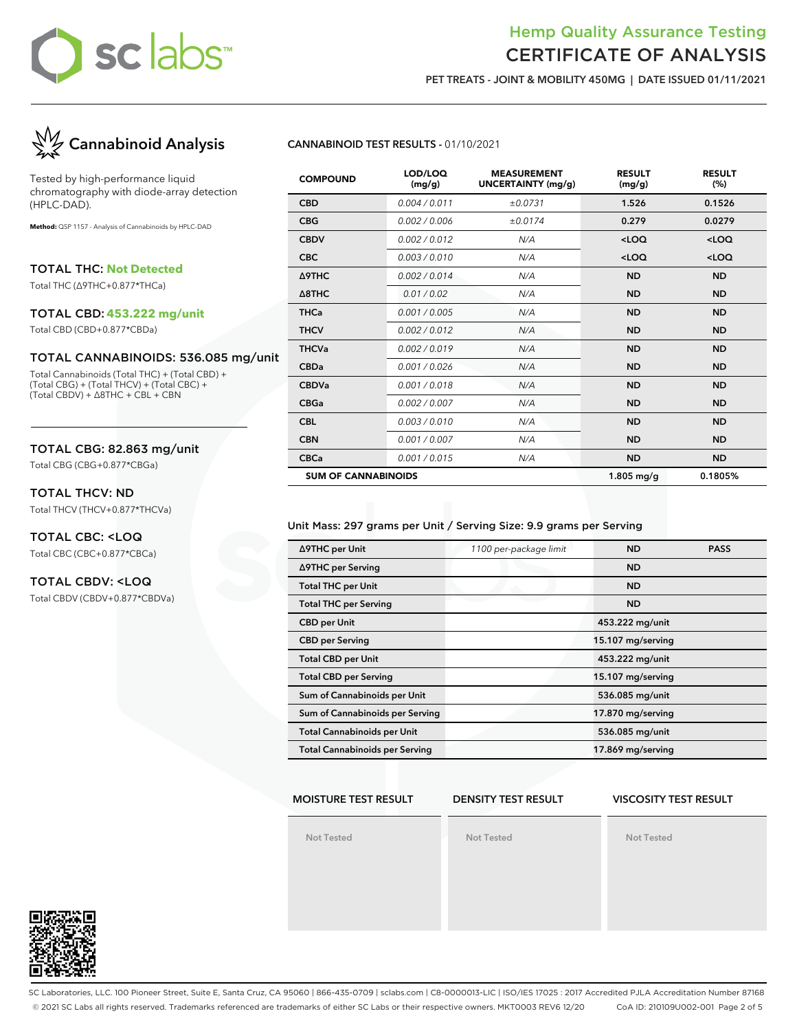## Hemp Quality Assurance Testing CERTIFICATE OF ANALYSIS

**PET TREATS - JOINT & MOBILITY 450MG | DATE ISSUED 01/11/2021**



Tested by high-performance liquid chromatography with diode-array detection (HPLC-DAD).

**Method:** QSP 1157 - Analysis of Cannabinoids by HPLC-DAD

TOTAL THC: **Not Detected**

Total THC (∆9THC+0.877\*THCa)

#### TOTAL CBD: **453.222 mg/unit**

Total CBD (CBD+0.877\*CBDa)

#### TOTAL CANNABINOIDS: 536.085 mg/unit

Total Cannabinoids (Total THC) + (Total CBD) + (Total CBG) + (Total THCV) + (Total CBC) + (Total CBDV) + ∆8THC + CBL + CBN

#### TOTAL CBG: 82.863 mg/unit

Total CBG (CBG+0.877\*CBGa)

#### TOTAL THCV: ND

Total THCV (THCV+0.877\*THCVa)

#### TOTAL CBC: <LOQ Total CBC (CBC+0.877\*CBCa)

#### TOTAL CBDV: <LOQ

Total CBDV (CBDV+0.877\*CBDVa)

#### **CANNABINOID TEST RESULTS -** 01/10/2021

| <b>COMPOUND</b>            | LOD/LOQ<br>(mg/g) | <b>MEASUREMENT</b><br><b>UNCERTAINTY (mg/g)</b> | <b>RESULT</b><br>(mg/g) | <b>RESULT</b><br>(%) |
|----------------------------|-------------------|-------------------------------------------------|-------------------------|----------------------|
| <b>CBD</b>                 | 0.004 / 0.011     | ±0.0731                                         | 1.526                   | 0.1526               |
| <b>CBG</b>                 | 0.002 / 0.006     | ±0.0174                                         | 0.279                   | 0.0279               |
| <b>CBDV</b>                | 0.002 / 0.012     | N/A                                             | $<$ LOQ                 | $<$ LOQ              |
| <b>CBC</b>                 | 0.003/0.010       | N/A                                             | $<$ LOQ                 | $<$ LOQ              |
| Δ9THC                      | 0.002 / 0.014     | N/A                                             | <b>ND</b>               | <b>ND</b>            |
| $\triangle$ 8THC           | 0.01 / 0.02       | N/A                                             | <b>ND</b>               | <b>ND</b>            |
| <b>THCa</b>                | 0.001 / 0.005     | N/A                                             | <b>ND</b>               | <b>ND</b>            |
| <b>THCV</b>                | 0.002 / 0.012     | N/A                                             | <b>ND</b>               | <b>ND</b>            |
| <b>THCVa</b>               | 0.002 / 0.019     | N/A                                             | <b>ND</b>               | <b>ND</b>            |
| <b>CBDa</b>                | 0.001 / 0.026     | N/A                                             | <b>ND</b>               | <b>ND</b>            |
| <b>CBDVa</b>               | 0.001/0.018       | N/A                                             | <b>ND</b>               | <b>ND</b>            |
| <b>CBGa</b>                | 0.002 / 0.007     | N/A                                             | <b>ND</b>               | <b>ND</b>            |
| <b>CBL</b>                 | 0.003/0.010       | N/A                                             | <b>ND</b>               | <b>ND</b>            |
| <b>CBN</b>                 | 0.001 / 0.007     | N/A                                             | <b>ND</b>               | <b>ND</b>            |
| <b>CBCa</b>                | 0.001 / 0.015     | N/A                                             | <b>ND</b>               | <b>ND</b>            |
| <b>SUM OF CANNABINOIDS</b> |                   |                                                 | $1.805$ mg/g            | 0.1805%              |

#### Unit Mass: 297 grams per Unit / Serving Size: 9.9 grams per Serving

| ∆9THC per Unit                        | 1100 per-package limit | <b>ND</b>         | <b>PASS</b> |
|---------------------------------------|------------------------|-------------------|-------------|
| ∆9THC per Serving                     |                        | <b>ND</b>         |             |
| <b>Total THC per Unit</b>             |                        | <b>ND</b>         |             |
| <b>Total THC per Serving</b>          |                        | <b>ND</b>         |             |
| <b>CBD</b> per Unit                   |                        | 453.222 mg/unit   |             |
| <b>CBD</b> per Serving                |                        | 15.107 mg/serving |             |
| <b>Total CBD per Unit</b>             |                        | 453.222 mg/unit   |             |
| <b>Total CBD per Serving</b>          |                        | 15.107 mg/serving |             |
| Sum of Cannabinoids per Unit          |                        | 536.085 mg/unit   |             |
| Sum of Cannabinoids per Serving       |                        | 17.870 mg/serving |             |
| <b>Total Cannabinoids per Unit</b>    | 536.085 mg/unit        |                   |             |
| <b>Total Cannabinoids per Serving</b> |                        | 17.869 mg/serving |             |

#### **MOISTURE TEST RESULT**

#### **DENSITY TEST RESULT**

#### **VISCOSITY TEST RESULT**

**Not Tested**

**Not Tested**

**Not Tested**



SC Laboratories, LLC. 100 Pioneer Street, Suite E, Santa Cruz, CA 95060 | 866-435-0709 | sclabs.com | C8-0000013-LIC | ISO/IES 17025 : 2017 Accredited PJLA Accreditation Number 87168 © 2021 SC Labs all rights reserved. Trademarks referenced are trademarks of either SC Labs or their respective owners. MKT0003 REV6 12/20 CoA ID: 210109U002-001 Page 2 of 5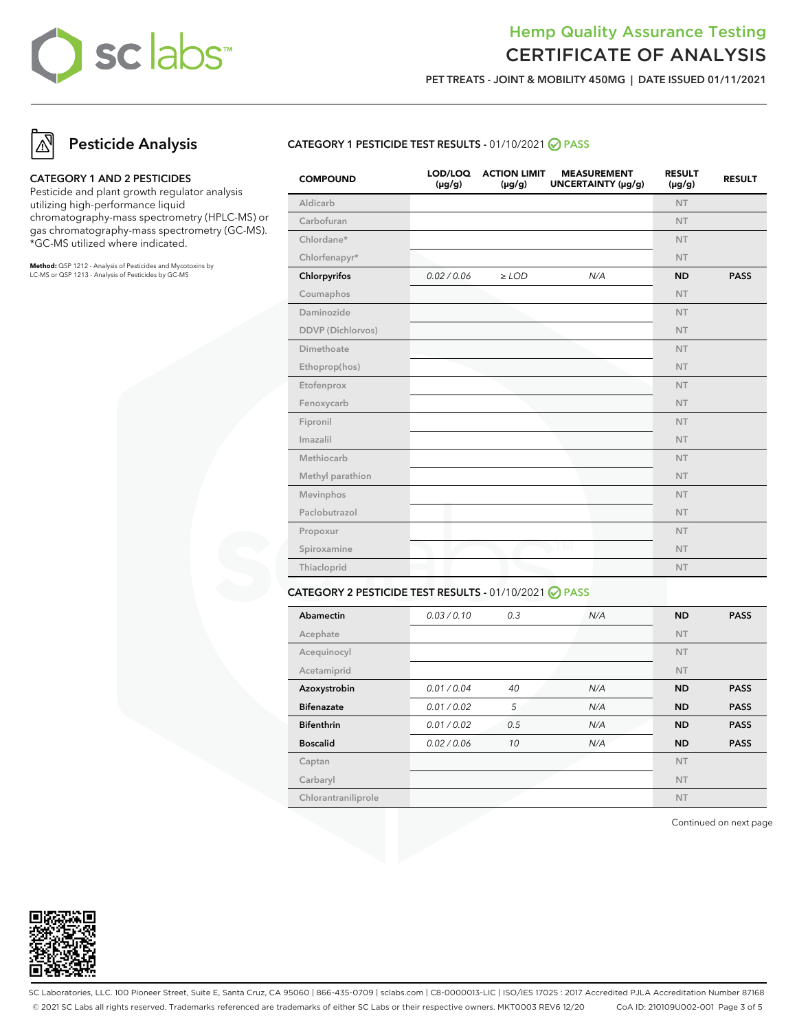# Hemp Quality Assurance Testing CERTIFICATE OF ANALYSIS

**PET TREATS - JOINT & MOBILITY 450MG | DATE ISSUED 01/11/2021**

# **Pesticide Analysis**

#### **CATEGORY 1 AND 2 PESTICIDES**

Pesticide and plant growth regulator analysis utilizing high-performance liquid chromatography-mass spectrometry (HPLC-MS) or gas chromatography-mass spectrometry (GC-MS). \*GC-MS utilized where indicated.

**Method:** QSP 1212 - Analysis of Pesticides and Mycotoxins by LC-MS or QSP 1213 - Analysis of Pesticides by GC-MS

#### **CATEGORY 1 PESTICIDE TEST RESULTS -** 01/10/2021 **PASS**

| <b>COMPOUND</b>   | LOD/LOQ<br>$(\mu g/g)$ | <b>ACTION LIMIT</b><br>$(\mu g/g)$ | <b>MEASUREMENT</b><br>UNCERTAINTY (µg/g) | <b>RESULT</b><br>$(\mu g/g)$ | <b>RESULT</b> |
|-------------------|------------------------|------------------------------------|------------------------------------------|------------------------------|---------------|
| Aldicarb          |                        |                                    |                                          | <b>NT</b>                    |               |
| Carbofuran        |                        |                                    |                                          | <b>NT</b>                    |               |
| Chlordane*        |                        |                                    |                                          | <b>NT</b>                    |               |
| Chlorfenapyr*     |                        |                                    |                                          | <b>NT</b>                    |               |
| Chlorpyrifos      | 0.02 / 0.06            | $\ge$ LOD                          | N/A                                      | <b>ND</b>                    | <b>PASS</b>   |
| Coumaphos         |                        |                                    |                                          | <b>NT</b>                    |               |
| Daminozide        |                        |                                    |                                          | <b>NT</b>                    |               |
| DDVP (Dichlorvos) |                        |                                    |                                          | <b>NT</b>                    |               |
| Dimethoate        |                        |                                    |                                          | <b>NT</b>                    |               |
| Ethoprop(hos)     |                        |                                    |                                          | <b>NT</b>                    |               |
| Etofenprox        |                        |                                    |                                          | <b>NT</b>                    |               |
| Fenoxycarb        |                        |                                    |                                          | <b>NT</b>                    |               |
| Fipronil          |                        |                                    |                                          | <b>NT</b>                    |               |
| Imazalil          |                        |                                    |                                          | <b>NT</b>                    |               |
| Methiocarb        |                        |                                    |                                          | <b>NT</b>                    |               |
| Methyl parathion  |                        |                                    |                                          | <b>NT</b>                    |               |
| Mevinphos         |                        |                                    |                                          | <b>NT</b>                    |               |
| Paclobutrazol     |                        |                                    |                                          | NT.                          |               |
| Propoxur          |                        |                                    |                                          | <b>NT</b>                    |               |
| Spiroxamine       |                        |                                    | ТM                                       | <b>NT</b>                    |               |
| Thiacloprid       |                        |                                    |                                          | <b>NT</b>                    |               |
|                   |                        |                                    |                                          |                              |               |

#### **CATEGORY 2 PESTICIDE TEST RESULTS -** 01/10/2021 **PASS**

| Abamectin           | 0.03/0.10   | 0.3 | N/A | <b>ND</b> | <b>PASS</b> |
|---------------------|-------------|-----|-----|-----------|-------------|
| Acephate            |             |     |     | <b>NT</b> |             |
| Acequinocyl         |             |     |     | <b>NT</b> |             |
| Acetamiprid         |             |     |     | <b>NT</b> |             |
| Azoxystrobin        | 0.01 / 0.04 | 40  | N/A | <b>ND</b> | <b>PASS</b> |
| <b>Bifenazate</b>   | 0.01 / 0.02 | 5   | N/A | <b>ND</b> | <b>PASS</b> |
| <b>Bifenthrin</b>   | 0.01 / 0.02 | 0.5 | N/A | <b>ND</b> | <b>PASS</b> |
| <b>Boscalid</b>     | 0.02 / 0.06 | 10  | N/A | <b>ND</b> | <b>PASS</b> |
| Captan              |             |     |     | <b>NT</b> |             |
| Carbaryl            |             |     |     | <b>NT</b> |             |
| Chlorantraniliprole |             |     |     | <b>NT</b> |             |

Continued on next page



SC Laboratories, LLC. 100 Pioneer Street, Suite E, Santa Cruz, CA 95060 | 866-435-0709 | sclabs.com | C8-0000013-LIC | ISO/IES 17025 : 2017 Accredited PJLA Accreditation Number 87168 © 2021 SC Labs all rights reserved. Trademarks referenced are trademarks of either SC Labs or their respective owners. MKT0003 REV6 12/20 CoA ID: 210109U002-001 Page 3 of 5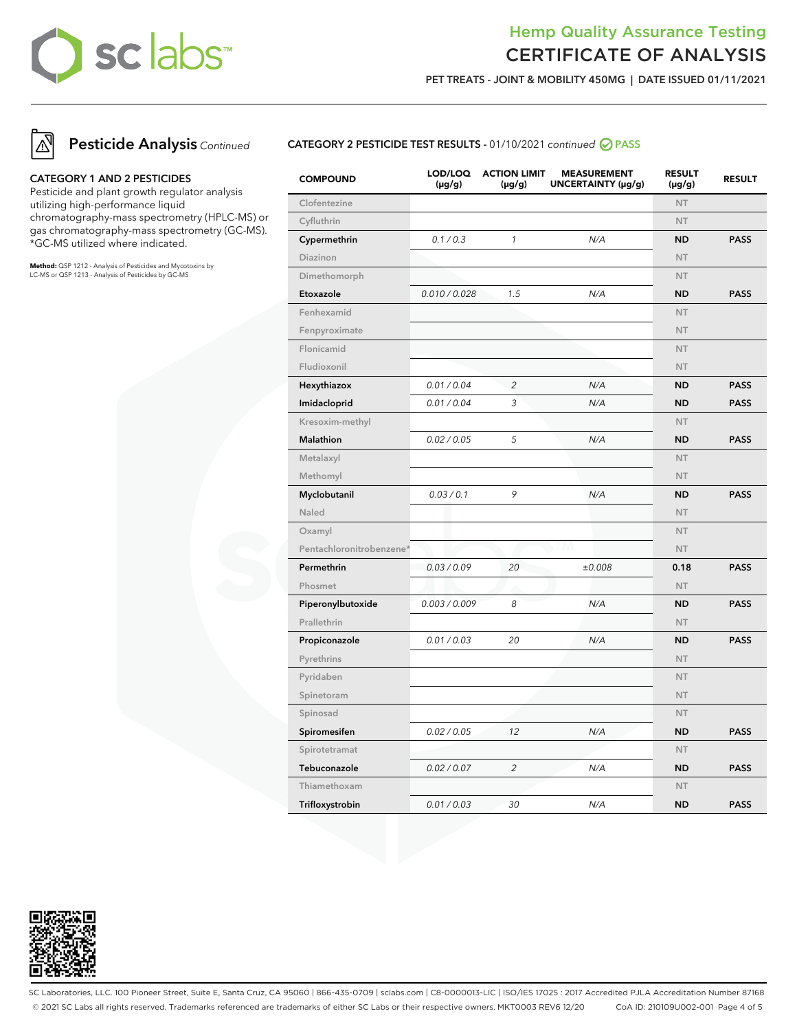# Hemp Quality Assurance Testing CERTIFICATE OF ANALYSIS

**PET TREATS - JOINT & MOBILITY 450MG | DATE ISSUED 01/11/2021**



**Pesticide Analysis** Continued

#### **CATEGORY 1 AND 2 PESTICIDES**

Pesticide and plant growth regulator analysis utilizing high-performance liquid chromatography-mass spectrometry (HPLC-MS) or gas chromatography-mass spectrometry (GC-MS). \*GC-MS utilized where indicated.

**Method:** QSP 1212 - Analysis of Pesticides and Mycotoxins by LC-MS or QSP 1213 - Analysis of Pesticides by GC-MS

#### **CATEGORY 2 PESTICIDE TEST RESULTS -** 01/10/2021 continued **PASS**

| <b>COMPOUND</b>          | LOD/LOQ<br>$(\mu g/g)$ | <b>ACTION LIMIT</b><br>$(\mu g/g)$ | <b>MEASUREMENT</b><br>UNCERTAINTY (µg/g) | <b>RESULT</b><br>$(\mu g/g)$ | <b>RESULT</b> |
|--------------------------|------------------------|------------------------------------|------------------------------------------|------------------------------|---------------|
| Clofentezine             |                        |                                    |                                          | <b>NT</b>                    |               |
| Cyfluthrin               |                        |                                    |                                          | <b>NT</b>                    |               |
| Cypermethrin             | 0.1 / 0.3              | $\mathbf{1}$                       | N/A                                      | <b>ND</b>                    | <b>PASS</b>   |
| Diazinon                 |                        |                                    |                                          | <b>NT</b>                    |               |
| Dimethomorph             |                        |                                    |                                          | <b>NT</b>                    |               |
| Etoxazole                | 0.010 / 0.028          | 1.5                                | N/A                                      | <b>ND</b>                    | <b>PASS</b>   |
| Fenhexamid               |                        |                                    |                                          | <b>NT</b>                    |               |
| Fenpyroximate            |                        |                                    |                                          | <b>NT</b>                    |               |
| Flonicamid               |                        |                                    |                                          | <b>NT</b>                    |               |
| Fludioxonil              |                        |                                    |                                          | <b>NT</b>                    |               |
| Hexythiazox              | 0.01 / 0.04            | 2                                  | N/A                                      | <b>ND</b>                    | <b>PASS</b>   |
| Imidacloprid             | 0.01 / 0.04            | 3                                  | N/A                                      | <b>ND</b>                    | <b>PASS</b>   |
| Kresoxim-methyl          |                        |                                    |                                          | <b>NT</b>                    |               |
| Malathion                | 0.02 / 0.05            | 5                                  | N/A                                      | <b>ND</b>                    | <b>PASS</b>   |
| Metalaxyl                |                        |                                    |                                          | <b>NT</b>                    |               |
| Methomyl                 |                        |                                    |                                          | NT                           |               |
| Myclobutanil             | 0.03 / 0.1             | 9                                  | N/A                                      | <b>ND</b>                    | <b>PASS</b>   |
| Naled                    |                        |                                    |                                          | <b>NT</b>                    |               |
| Oxamyl                   |                        |                                    |                                          | <b>NT</b>                    |               |
| Pentachloronitrobenzene* |                        |                                    | I M                                      | <b>NT</b>                    |               |
| Permethrin               | 0.03 / 0.09            | 20                                 | ±0.008                                   | 0.18                         | <b>PASS</b>   |
| Phosmet                  |                        |                                    |                                          | <b>NT</b>                    |               |
| Piperonylbutoxide        | 0.003 / 0.009          | 8                                  | N/A                                      | <b>ND</b>                    | <b>PASS</b>   |
| Prallethrin              |                        |                                    |                                          | <b>NT</b>                    |               |
| Propiconazole            | 0.01 / 0.03            | 20                                 | N/A                                      | <b>ND</b>                    | <b>PASS</b>   |
| Pyrethrins               |                        |                                    |                                          | <b>NT</b>                    |               |
| Pyridaben                |                        |                                    |                                          | <b>NT</b>                    |               |
| Spinetoram               |                        |                                    |                                          | <b>NT</b>                    |               |
| Spinosad                 |                        |                                    |                                          | <b>NT</b>                    |               |
| Spiromesifen             | 0.02 / 0.05            | 12                                 | N/A                                      | <b>ND</b>                    | <b>PASS</b>   |
| Spirotetramat            |                        |                                    |                                          | <b>NT</b>                    |               |
| Tebuconazole             | 0.02 / 0.07            | $\overline{c}$                     | N/A                                      | <b>ND</b>                    | <b>PASS</b>   |
| Thiamethoxam             |                        |                                    |                                          | <b>NT</b>                    |               |
| Trifloxystrobin          | 0.01 / 0.03            | 30                                 | N/A                                      | <b>ND</b>                    | <b>PASS</b>   |



SC Laboratories, LLC. 100 Pioneer Street, Suite E, Santa Cruz, CA 95060 | 866-435-0709 | sclabs.com | C8-0000013-LIC | ISO/IES 17025 : 2017 Accredited PJLA Accreditation Number 87168 © 2021 SC Labs all rights reserved. Trademarks referenced are trademarks of either SC Labs or their respective owners. MKT0003 REV6 12/20 CoA ID: 210109U002-001 Page 4 of 5